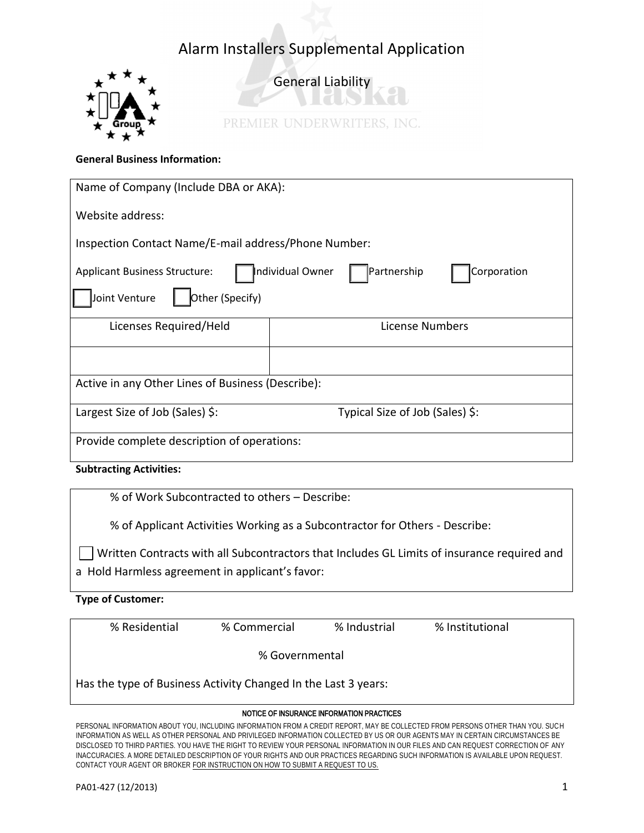

General Liability

PREMIER UNDERWRITERS, INC.

### **General Business Information:**

| Name of Company (Include DBA or AKA):                                                                                      |                                 |  |  |  |
|----------------------------------------------------------------------------------------------------------------------------|---------------------------------|--|--|--|
| Website address:                                                                                                           |                                 |  |  |  |
| Inspection Contact Name/E-mail address/Phone Number:                                                                       |                                 |  |  |  |
| Individual Owner<br>Partnership<br>Corporation<br><b>Applicant Business Structure:</b><br>Other (Specify)<br>Joint Venture |                                 |  |  |  |
| Licenses Required/Held                                                                                                     | License Numbers                 |  |  |  |
|                                                                                                                            |                                 |  |  |  |
| Active in any Other Lines of Business (Describe):                                                                          |                                 |  |  |  |
| Largest Size of Job (Sales) \$:                                                                                            | Typical Size of Job (Sales) \$: |  |  |  |
| Provide complete description of operations:                                                                                |                                 |  |  |  |

**Subtracting Activities:** 

% of Work Subcontracted to others – Describe:

% of Applicant Activities Working as a Subcontractor for Others - Describe:

Written Contracts with all Subcontractors that Includes GL Limits of insurance required and a Hold Harmless agreement in applicant's favor:

**Type of Customer:** 

| % Residential                                                  | % Commercial | % Industrial | % Institutional |  |  |  |
|----------------------------------------------------------------|--------------|--------------|-----------------|--|--|--|
| % Governmental                                                 |              |              |                 |  |  |  |
| Has the type of Business Activity Changed In the Last 3 years: |              |              |                 |  |  |  |

#### NOTICE OF INSURANCE INFORMATION PRACTICES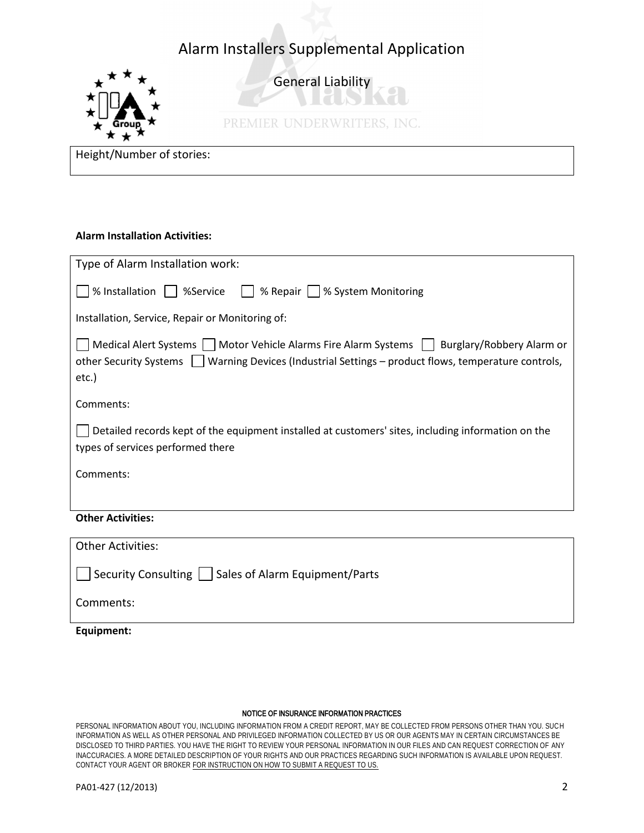

General Liability

IT IS

PREMIER UNDERWRITERS, INC.

Height/Number of stories:

### **Alarm Installation Activities:**

| Type of Alarm Installation work:                                                                                                                                                                               |  |  |  |  |
|----------------------------------------------------------------------------------------------------------------------------------------------------------------------------------------------------------------|--|--|--|--|
| % Installation<br>% Repair    % System Monitoring<br>    %Service                                                                                                                                              |  |  |  |  |
| Installation, Service, Repair or Monitoring of:                                                                                                                                                                |  |  |  |  |
| Medical Alert Systems   Motor Vehicle Alarms Fire Alarm Systems   Burglary/Robbery Alarm or<br>other Security Systems     Warning Devices (Industrial Settings – product flows, temperature controls,<br>etc.) |  |  |  |  |
| Comments:                                                                                                                                                                                                      |  |  |  |  |
| Detailed records kept of the equipment installed at customers' sites, including information on the<br>types of services performed there                                                                        |  |  |  |  |
| Comments:                                                                                                                                                                                                      |  |  |  |  |
|                                                                                                                                                                                                                |  |  |  |  |
| <b>Other Activities:</b>                                                                                                                                                                                       |  |  |  |  |
| <b>Other Activities:</b>                                                                                                                                                                                       |  |  |  |  |
| Security Consulting     Sales of Alarm Equipment/Parts                                                                                                                                                         |  |  |  |  |
| Comments:                                                                                                                                                                                                      |  |  |  |  |

**Equipment:** 

#### NOTICE OF INSURANCE INFORMATION PRACTICES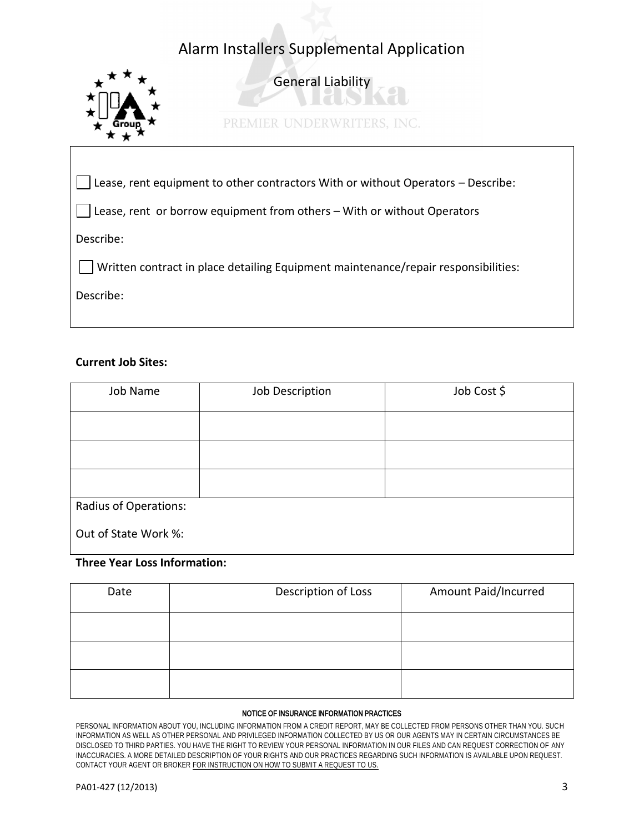

Describe:

## **Current Job Sites:**

| Job Name                     | Job Description | Job Cost \$ |
|------------------------------|-----------------|-------------|
|                              |                 |             |
|                              |                 |             |
|                              |                 |             |
| <b>Radius of Operations:</b> |                 |             |
| Out of State Work %:         |                 |             |

## **Three Year Loss Information:**

| Date | Description of Loss | Amount Paid/Incurred |
|------|---------------------|----------------------|
|      |                     |                      |
|      |                     |                      |
|      |                     |                      |

#### NOTICE OF INSURANCE INFORMATION PRACTICES